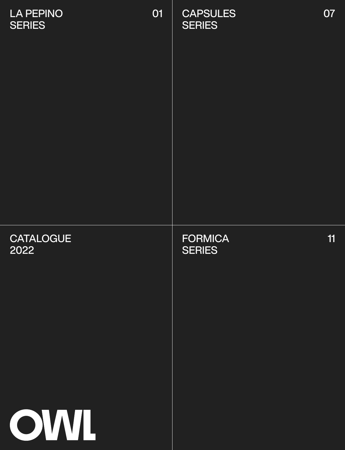| <b>LA PEPINO</b><br><b>SERIES</b> | 01 | <b>CAPSULES</b><br><b>SERIES</b> | 07 |
|-----------------------------------|----|----------------------------------|----|
| <b>CATALOGUE</b><br>2022<br>OWL   |    | <b>FORMICA</b><br><b>SERIES</b>  | 11 |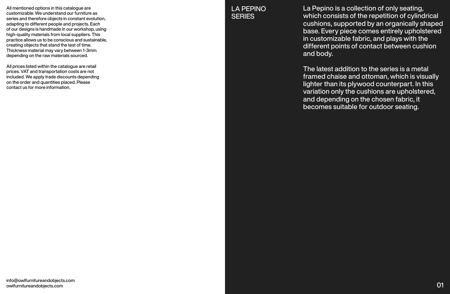info@owlfurnitureandobjects.com owlfurnitureandobjects.com

## LA PEPINO **SERIES**

La Pepino is a collection of only seating, which consists of the repetition of cylindrical cushions, supported by an organically shaped base. Every piece comes entirely upholstered in customizable fabric, and plays with the different points of contact between cushion and body.

The latest addition to the series is a metal framed chaise and ottoman, which is visually lighter than its plywood counterpart. In this variation only the cushions are upholstered, and depending on the chosen fabric, it becomes suitable for outdoor seating.

All mentioned options in this catalogue are customizable. We understand our furniture as series and therefore objects in constant evolution, adapting to different people and projects. Each of our designs is handmade in our workshop, using high-quality materials from local suppliers. This practice allows us to be conscious and sustainable, creating objects that stand the test of time. Thickness material may vary between 1-3mm depending on the raw materials sourced.

All prices listed within the catalogue are retail prices. VAT and transportation costs are not included. We apply trade discounts depending on the order and quantities placed. Please contact us for more information.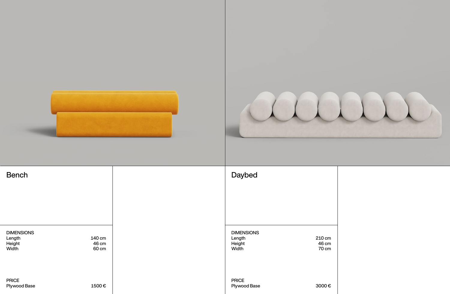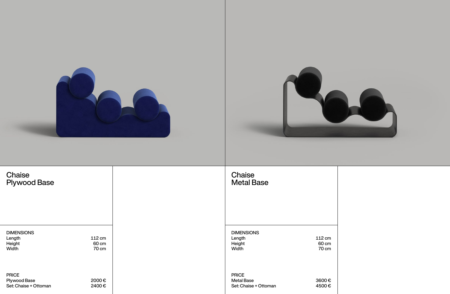| Chaise<br><b>Plywood Base</b>                                |                          | Chaise<br><b>Metal Base</b>                                |                                 |
|--------------------------------------------------------------|--------------------------|------------------------------------------------------------|---------------------------------|
| <b>DIMENSIONS</b><br>Length<br>Height<br>Width               | 112 cm<br>60 cm<br>70 cm | <b>DIMENSIONS</b><br>Length<br>Height<br>Width             | 112 cm<br>60 cm<br><b>70 cm</b> |
| <b>PRICE</b><br><b>Plywood Base</b><br>Set: Chaise + Ottoman | 2000€<br>2400€           | <b>PRICE</b><br><b>Metal Base</b><br>Set: Chaise + Ottoman | 3600€<br>4500€                  |

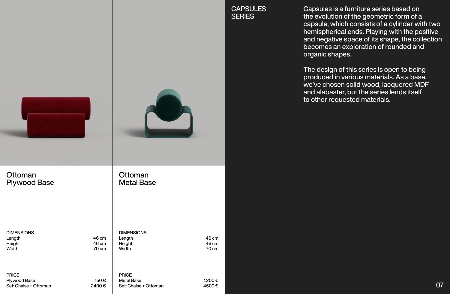| <b>PRICE</b><br><b>Plywood Base</b><br>Set: Chaise + Ottoman | <b>DIMENSIONS</b><br>Length<br>Height<br>Width | Ottoman<br><b>Plywood Base</b> |  |
|--------------------------------------------------------------|------------------------------------------------|--------------------------------|--|
| 750€<br>2400€                                                | 46 cm<br>46 cm<br>70 cm                        |                                |  |
| <b>PRICE</b><br><b>Metal Base</b><br>Set: Chaise + Ottoman   | <b>DIMENSIONS</b><br>Length<br>Height<br>Width | Ottoman<br><b>Metal Base</b>   |  |
| 1200€<br>4500€                                               | 46 cm<br>46 cm<br>70 cm                        |                                |  |

CAPSULES **SERIES** 

Capsules is a furniture series based on the evolution of the geometric form of a capsule, which consists of a cylinder with two hemispherical ends. Playing with the positive and negative space of its shape, the collection becomes an exploration of rounded and organic shapes.

The design of this series is open to being produced in various materials. As a base, we've chosen solid wood, lacquered MDF and alabaster, but the series lends itself to other requested materials.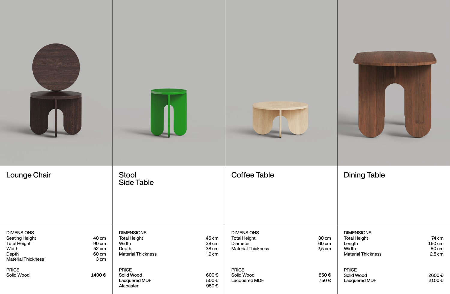## Dining Table

| <b>A</b>                                                                                                         |                                          | T II                                                                                    |                                     |                                                                                          |                            |
|------------------------------------------------------------------------------------------------------------------|------------------------------------------|-----------------------------------------------------------------------------------------|-------------------------------------|------------------------------------------------------------------------------------------|----------------------------|
| <b>Lounge Chair</b>                                                                                              |                                          | <b>Stool</b><br><b>Side Table</b>                                                       |                                     | <b>Coffee Table</b>                                                                      |                            |
| <b>DIMENSIONS</b><br><b>Seating Height</b><br><b>Total Height</b><br>Width<br>Depth<br><b>Material Thickness</b> | 40 cm<br>90 cm<br>52 cm<br>60 cm<br>3 cm | <b>DIMENSIONS</b><br><b>Total Height</b><br>Width<br>Depth<br><b>Material Thickness</b> | 45 cm<br>38 cm<br>38 cm<br>$1,9$ cm | <b>DIMENSIONS</b><br><b>Total Height</b><br><b>Diameter</b><br><b>Material Thickness</b> | 30 cm<br>60 cm<br>$2,5$ cm |
| <b>PRICE</b><br>Solid Wood                                                                                       | 1400€                                    | <b>PRICE</b><br>Solid Wood<br>Lacquered MDF<br>Alabaster                                | 600€<br>500€<br>950€                | <b>PRICE</b><br>Solid Wood<br>Lacquered MDF                                              | 850€<br>750€               |



74 cm 160 cm 80 cm 2,5 cm

2600 € 2100 €

DIMENSIONS Total Height Length Width Material Thickness

PRICE Solid Wood Lacquered MDF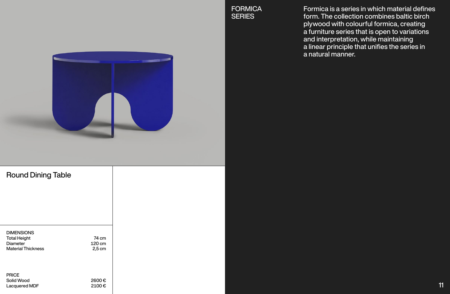Formica is a series in which material defines form. The collection combines baltic birch plywood with colourful formica, creating a furniture series that is open to variations and interpretation, while maintaining a linear principle that unifies the series in a natural manner.

| <b>DIMENSIONS</b><br><b>Total Height</b><br><b>Diameter</b><br><b>Material Thickness</b> | 74 cm<br>120 cm<br>$2,5$ cm |
|------------------------------------------------------------------------------------------|-----------------------------|
| <b>PRICE</b><br><b>Solid Wood</b><br><b>Lacquered MDF</b>                                | 2600€<br>2100€              |

**FORMICA SERIES** 



## Round Dining Table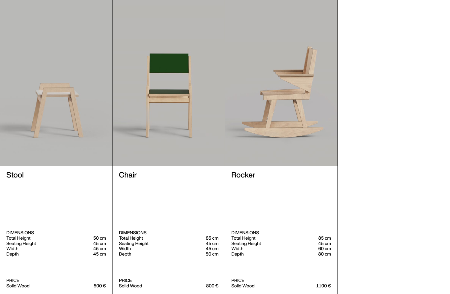| Stool                                                                               |                                  | Chair                                                                               |                                  | Rocker                                                                              |                                  |
|-------------------------------------------------------------------------------------|----------------------------------|-------------------------------------------------------------------------------------|----------------------------------|-------------------------------------------------------------------------------------|----------------------------------|
| <b>DIMENSIONS</b><br><b>Total Height</b><br><b>Seating Height</b><br>Width<br>Depth | 50 cm<br>45 cm<br>45 cm<br>45 cm | <b>DIMENSIONS</b><br><b>Total Height</b><br><b>Seating Height</b><br>Width<br>Depth | 85 cm<br>45 cm<br>45 cm<br>50 cm | <b>DIMENSIONS</b><br><b>Total Height</b><br><b>Seating Height</b><br>Width<br>Depth | 85 cm<br>45 cm<br>60 cm<br>80 cm |
| <b>PRICE</b><br>Solid Wood                                                          | 500€                             | <b>PRICE</b><br>Solid Wood                                                          | 800€                             | <b>PRICE</b><br>Solid Wood                                                          | 1100€                            |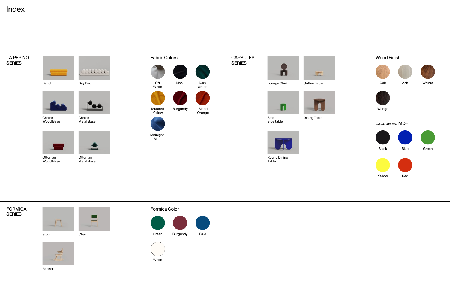